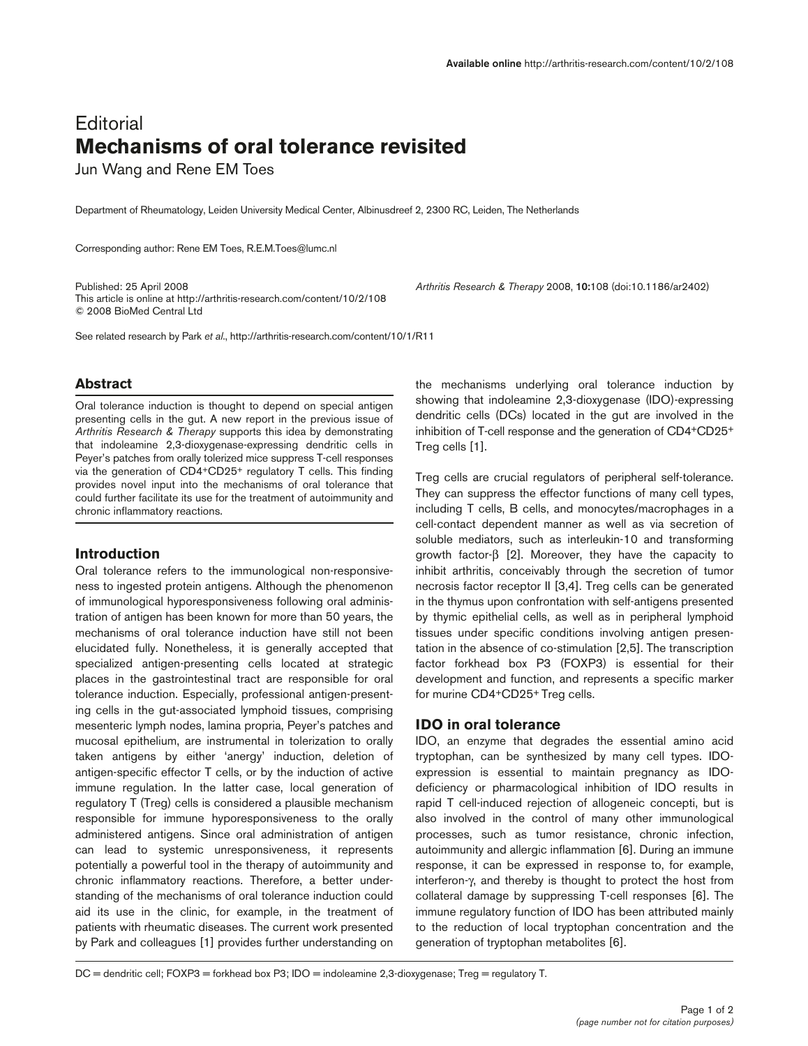# **Editorial Mechanisms of oral tolerance revisited**

Jun Wang and Rene EM Toes

Department of Rheumatology, Leiden University Medical Center, Albinusdreef 2, 2300 RC, Leiden, The Netherlands

Corresponding author: Rene EM Toes, R.E.M.Toes@lumc.nl

Published: 25 April 2008 *Arthritis Research & Therapy* 2008, **10:**108 (doi:10.1186/ar2402) This article is online at http://arthritis-research.com/content/10/2/108 © 2008 BioMed Central Ltd

See related research by Park *et al*., http://arthritis-research.com/content/10/1/R11

# **Abstract**

Oral tolerance induction is thought to depend on special antigen presenting cells in the gut. A new report in the previous issue of *Arthritis Research & Therapy* supports this idea by demonstrating that indoleamine 2,3-dioxygenase-expressing dendritic cells in Peyer's patches from orally tolerized mice suppress T-cell responses via the generation of CD4+CD25+ regulatory T cells. This finding provides novel input into the mechanisms of oral tolerance that could further facilitate its use for the treatment of autoimmunity and chronic inflammatory reactions.

# **Introduction**

Oral tolerance refers to the immunological non-responsiveness to ingested protein antigens. Although the phenomenon of immunological hyporesponsiveness following oral administration of antigen has been known for more than 50 years, the mechanisms of oral tolerance induction have still not been elucidated fully. Nonetheless, it is generally accepted that specialized antigen-presenting cells located at strategic places in the gastrointestinal tract are responsible for oral tolerance induction. Especially, professional antigen-presenting cells in the gut-associated lymphoid tissues, comprising mesenteric lymph nodes, lamina propria, Peyer's patches and mucosal epithelium, are instrumental in tolerization to orally taken antigens by either 'anergy' induction, deletion of antigen-specific effector T cells, or by the induction of active immune regulation. In the latter case, local generation of regulatory T (Treg) cells is considered a plausible mechanism responsible for immune hyporesponsiveness to the orally administered antigens. Since oral administration of antigen can lead to systemic unresponsiveness, it represents potentially a powerful tool in the therapy of autoimmunity and chronic inflammatory reactions. Therefore, a better understanding of the mechanisms of oral tolerance induction could aid its use in the clinic, for example, in the treatment of patients with rheumatic diseases. The current work presented by Park and colleagues [1] provides further understanding on

the mechanisms underlying oral tolerance induction by showing that indoleamine 2,3-dioxygenase (IDO)-expressing dendritic cells (DCs) located in the gut are involved in the inhibition of T-cell response and the generation of CD4+CD25+ Treg cells [1].

Treg cells are crucial regulators of peripheral self-tolerance. They can suppress the effector functions of many cell types, including T cells, B cells, and monocytes/macrophages in a cell-contact dependent manner as well as via secretion of soluble mediators, such as interleukin-10 and transforming growth factor-β [2]. Moreover, they have the capacity to inhibit arthritis, conceivably through the secretion of tumor necrosis factor receptor II [3,4]. Treg cells can be generated in the thymus upon confrontation with self-antigens presented by thymic epithelial cells, as well as in peripheral lymphoid tissues under specific conditions involving antigen presentation in the absence of co-stimulation [2,5]. The transcription factor forkhead box P3 (FOXP3) is essential for their development and function, and represents a specific marker for murine CD4+CD25+ Treg cells.

#### **IDO in oral tolerance**

IDO, an enzyme that degrades the essential amino acid tryptophan, can be synthesized by many cell types. IDOexpression is essential to maintain pregnancy as IDOdeficiency or pharmacological inhibition of IDO results in rapid T cell-induced rejection of allogeneic concepti, but is also involved in the control of many other immunological processes, such as tumor resistance, chronic infection, autoimmunity and allergic inflammation [6]. During an immune response, it can be expressed in response to, for example, interferon-γ, and thereby is thought to protect the host from collateral damage by suppressing T-cell responses [6]. The immune regulatory function of IDO has been attributed mainly to the reduction of local tryptophan concentration and the generation of tryptophan metabolites [6].

DC = dendritic cell; FOXP3 = forkhead box P3; IDO = indoleamine 2,3-dioxygenase; Treg = regulatory T.